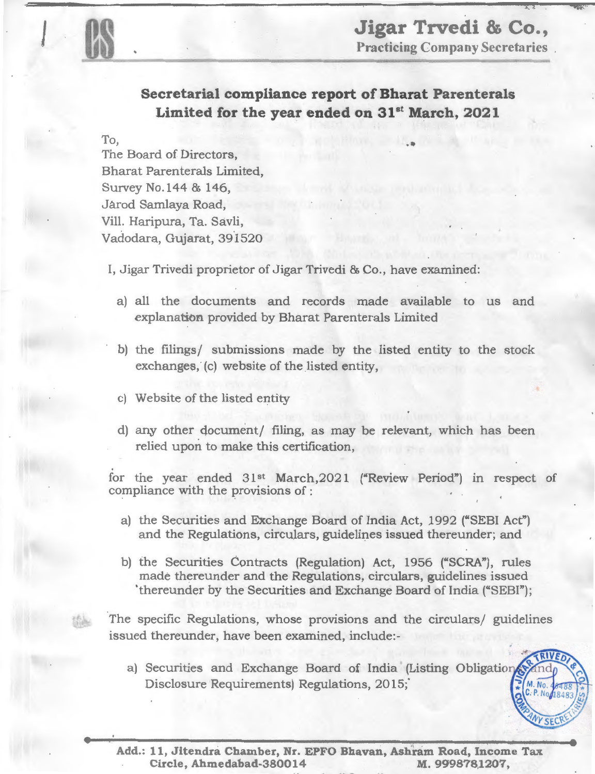## Jigar Trvedi & Co., Practicing Company Secretaries



## To,

The Board of Directors, Bharat Parenterals Limited. Survey No. 144 & 146, Jarod Samlaya Road, Vill. Haripura, Ta. Savli, Vadodara, Gujarat, 391520

I, Jigar Trivedi proprietor of Jigar Trivedi & Co., have examined:

- a) all the documents and records made available to us and explanation provided by Bharat Parenterals Limited
- b) the filings/ submissions made by the listed entity to the stock exchanges, (c) website of the listed entity,
- c) Website of the listed entity
- d) any other document/ filing, as may be relevant, which has been relied upon to make this certification,

for the year ended  $31$ <sup>st</sup> March, 2021 ("Review Period") in respect of compliance with the provisions of :

- a) the Securities and Exchange Board of India Act, 1992 ("SEBI Act") and the Regulations, circulars, guidelines issued thereunder; and
- b) the Securities Contracts (Regulation) Act, 1956 ("SCRA"), rules made thereunder and the Regulations, circulars, guidelines issued 'thereunder by the Securities and Exchange Board of India ("SEBI");

The specific Regulations, whose provisions and the circulars/ guidelines issued thereunder, have been examined, include:- . .

a) Securities and Exchange Board of India (Listing Obligation Disclosure Requirements) Regulations, 2015;

Add.: 11, Jitendra Chamber, Nr. EPFO Bhavan, Ashram Road, Income Tax Circle, Ahmedabad-380014 M. 999878.1207,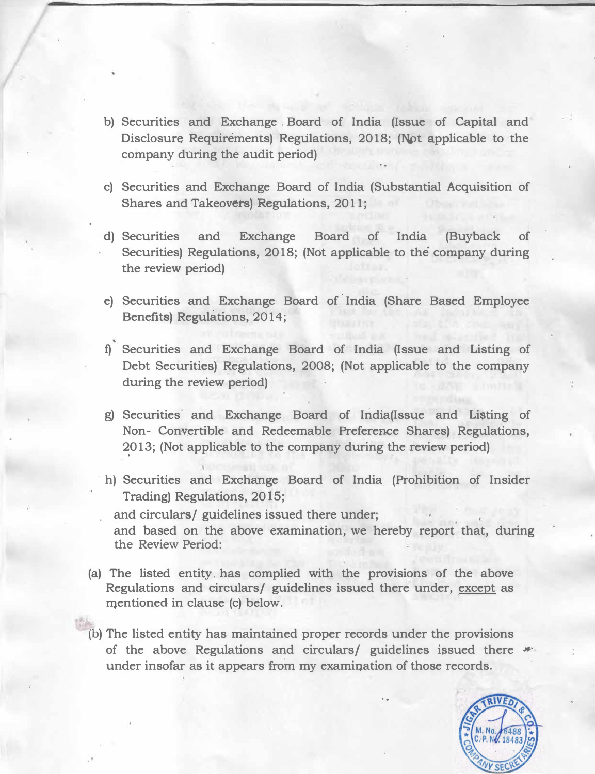- **b) Securities and Exchange. Board of India (Issue of Capital and Disclosure Requirements) Regulations, 2018; (Npt applicable to the company during the audit period)** ..
- **c) Securities and Exchange Board of India (Substantial Acquisition of Shares and Takeovers) Regulations, 2011;**
- **d) Securities and Exchange Board of India (Buyback of Securities) Regulations, 2018; (Not applicable to the company during the review period)**
- **e) Securities and Exchange Board of· India (Share Based Employee Benefits) Regulations, 2014;**
- **f) Securities and Exchange Board of India (Issue and Listing of Debt Securities) Regulations, 2008; (Not applicable to the company during the review period)**
- **g) Securities· and Exchange Board of India(Issue and Listing of Non- Convertible and Redeemable Preference Shares) Regulations, �013; (Not applicable to the company during the review period)**
- **· h) Securities and Exchange Board of India (Prohibition of Insider Trading) Regulations, 2015;**

and circulars/ guidelines issued there under; **and based on the above examination, we hereby report that, during the Review Period:** 

- **(a) The listed entity. has complied with the provisions of the above Regulations and circulars/ guidelines issued there under, except as mentioned in clause (c) below.**
- **(b) The listed entity has maintained proper records under the provisions** of the above Regulations and circulars/ guidelines issued there  $\psi$ **under insofar as it appears from my exami�ation of those records.**

'.

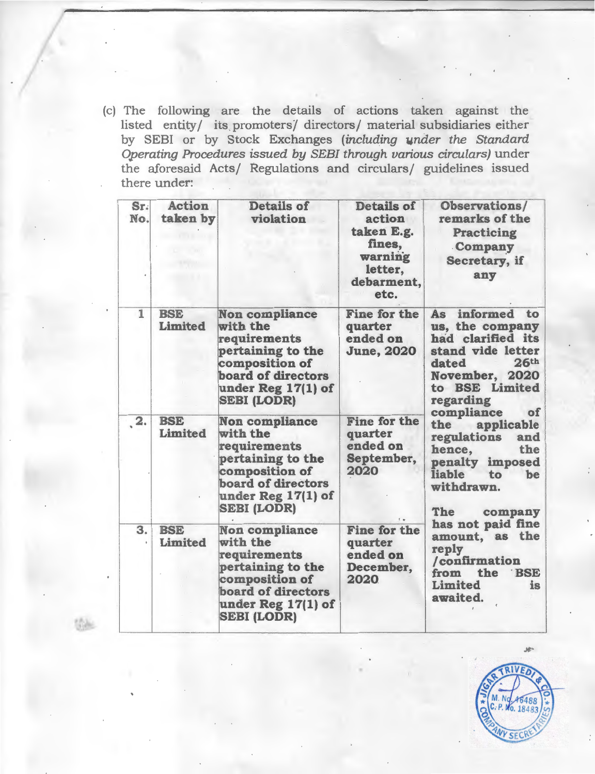(c) The following are the details of actions taken against the listed entity/ its promoters/ directors/ material subsidiaries either by SEBI or by Stock Exchanges (including under the Standard Operating Procedures issued *by* SEBI through various circulars) under the aforesaid Acts/ Regulations and circulars/ guidelines issued there under:

| Sr.<br>No.       | <b>Action</b><br>taken by    | <b>Details of</b><br>violation                                                                                                                                    | <b>Details of</b><br>action<br>taken E.g.<br>fines,<br>warning<br>letter,<br>debarment,<br>etc. | Observations/<br>remarks of the<br><b>Practicing</b><br><b>Company</b><br>Secretary, if<br>any                                                                                                                                                                                                                                                                                                                                                                    |
|------------------|------------------------------|-------------------------------------------------------------------------------------------------------------------------------------------------------------------|-------------------------------------------------------------------------------------------------|-------------------------------------------------------------------------------------------------------------------------------------------------------------------------------------------------------------------------------------------------------------------------------------------------------------------------------------------------------------------------------------------------------------------------------------------------------------------|
| 1                | <b>BSE</b><br><b>Limited</b> | <b>Non compliance</b><br>with the<br>requirements<br>pertaining to the<br>composition of<br>board of directors<br>under Reg $17(1)$ of<br><b>SEBI (LODR)</b>      | <b>Fine for the</b><br>quarter<br>ended on<br><b>June, 2020</b>                                 | informed<br>to<br>As<br>us, the company<br>had clarified its<br>stand vide letter<br>26 <sup>th</sup><br>dated<br>November, 2020<br>to BSE Limited<br>regarding<br>compliance<br>of<br>applicable<br>the<br>regulations<br>and<br>the<br>hence,<br>penalty imposed<br><b>liable</b><br>to<br>be<br>withdrawn.<br><b>The</b><br>company<br>has not paid fine<br>amount, as the<br>reply<br>/confirmation<br>the<br><b>BSE</b><br>from<br>Limited<br>is<br>awaited. |
| $\overline{2}$ . | <b>BSE</b><br>Limited        | <b>Non compliance</b><br>with the<br>requirements<br>pertaining to the<br>composition of<br><b>board of directors</b><br>under Reg 17(1) of<br><b>SEBI (LODR)</b> | <b>Fine for the</b><br>quarter<br>ended on<br>September,<br>2020                                |                                                                                                                                                                                                                                                                                                                                                                                                                                                                   |
| 3.               | <b>BSE</b><br>Limited        | <b>Non compliance</b><br>with the<br>requirements<br>pertaining to the<br>composition of<br><b>board of directors</b><br>under Reg 17(1) of<br><b>SEBI (LODR)</b> | Fine for the<br>quarter<br>ended on<br>December,<br>2020                                        |                                                                                                                                                                                                                                                                                                                                                                                                                                                                   |